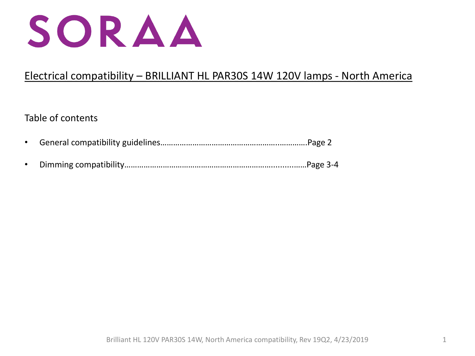

# Electrical compatibility – BRILLIANT HL PAR30S 14W 120V lamps - North America

## Table of contents

- General compatibility guidelines………………………………………………..………….Page 2
- Dimming compatibility……………………………………………………………..........……Page 3-4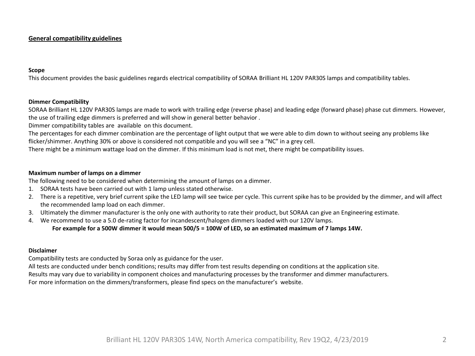### **General compatibility guidelines**

#### **Scope**

This document provides the basic guidelines regards electrical compatibility of SORAA Brilliant HL 120V PAR30S lamps and compatibility tables.

#### **Dimmer Compatibility**

SORAA Brilliant HL 120V PAR30S lamps are made to work with trailing edge (reverse phase) and leading edge (forward phase) phase cut dimmers. However, the use of trailing edge dimmers is preferred and will show in general better behavior .

Dimmer compatibility tables are available on this document.

The percentages for each dimmer combination are the percentage of light output that we were able to dim down to without seeing any problems like flicker/shimmer. Anything 30% or above is considered not compatible and you will see a "NC" in a grey cell.

There might be a minimum wattage load on the dimmer. If this minimum load is not met, there might be compatibility issues.

#### **Maximum number of lamps on a dimmer**

The following need to be considered when determining the amount of lamps on a dimmer.

- 1. SORAA tests have been carried out with 1 lamp unless stated otherwise.
- 2. There is a repetitive, very brief current spike the LED lamp will see twice per cycle. This current spike has to be provided by the dimmer, and will affect the recommended lamp load on each dimmer.
- 3. Ultimately the dimmer manufacturer is the only one with authority to rate their product, but SORAA can give an Engineering estimate.
- 4. We recommend to use a 5.0 de-rating factor for incandescent/halogen dimmers loaded with our 120V lamps.

#### **For example for a 500W dimmer it would mean 500/5 = 100W of LED, so an estimated maximum of 7 lamps 14W.**

## **Disclaimer**

Compatibility tests are conducted by Soraa only as guidance for the user.

All tests are conducted under bench conditions; results may differ from test results depending on conditions at the application site.

Results may vary due to variability in component choices and manufacturing processes by the transformer and dimmer manufacturers.

For more information on the dimmers/transformers, please find specs on the manufacturer's website.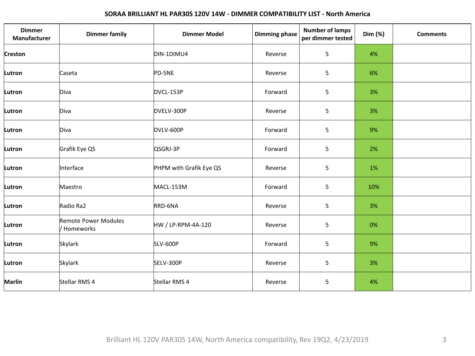## **SORAA BRILLIANT HL PAR30S 120V 14W - DIMMER COMPATIBILITY LIST - North America**

| <b>Dimmer</b><br>Manufacturer | <b>Dimmer family</b>                | <b>Dimmer Model</b>     | <b>Dimming phase</b> | <b>Number of lamps</b><br>per dimmer tested | Dim (%) | <b>Comments</b> |
|-------------------------------|-------------------------------------|-------------------------|----------------------|---------------------------------------------|---------|-----------------|
| <b>Creston</b>                |                                     | DIN-1DIMU4              | Reverse              | 5                                           | 4%      |                 |
| Lutron                        | Caseta                              | PD-5NE                  | Reverse              | 5                                           | 6%      |                 |
| Lutron                        | Diva                                | DVCL-153P               | Forward              | 5                                           | 3%      |                 |
| Lutron                        | Diva                                | DVELV-300P              | Reverse              | 5                                           | 3%      |                 |
| Lutron                        | Diva                                | DVLV-600P               | Forward              | 5                                           | 9%      |                 |
| Lutron                        | Grafik Eye QS                       | QSGRJ-3P                | Forward              | 5                                           | 2%      |                 |
| Lutron                        | Interface                           | PHPM with Grafik Eye QS | Reverse              | 5                                           | 1%      |                 |
| Lutron                        | Maestro                             | MACL-153M               | Forward              | 5                                           | 10%     |                 |
| Lutron                        | Radio Ra2                           | RRD-6NA                 | Reverse              | 5                                           | 3%      |                 |
| Lutron                        | Remote Power Modules<br>/ Homeworks | HW / LP-RPM-4A-120      | Reverse              | 5                                           | 0%      |                 |
| Lutron                        | <b>Skylark</b>                      | <b>SLV-600P</b>         | Forward              | 5                                           | 9%      |                 |
| Lutron                        | <b>Skylark</b>                      | SELV-300P               | Reverse              | 5                                           | 3%      |                 |
| Marlin                        | Stellar RMS 4                       | Stellar RMS 4           | Reverse              | 5                                           | 4%      |                 |